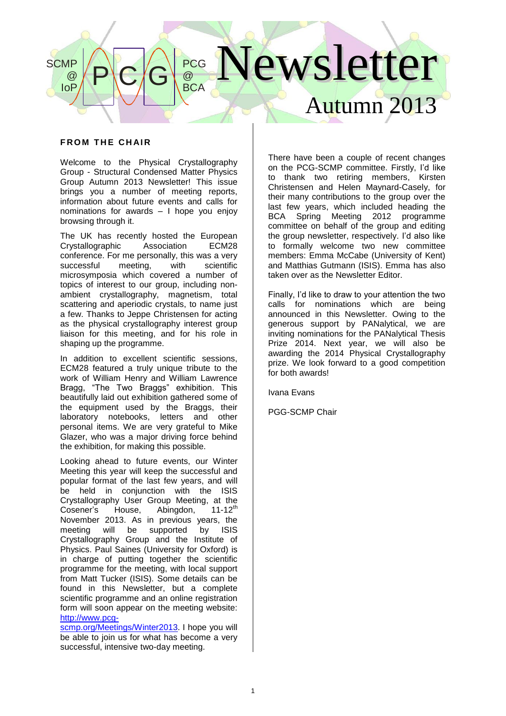### lewsletter Autumn 2013  $P$  $C/G$ PCG @ **BCA SCMP** @ IoP

# **FROM THE CHAIR**

Welcome to the Physical Crystallography Group - Structural Condensed Matter Physics Group Autumn 2013 Newsletter! This issue brings you a number of meeting reports, information about future events and calls for nominations for awards – I hope you enjoy browsing through it.

The UK has recently hosted the European<br>Crystallographic Association ECM28 Crystallographic conference. For me personally, this was a very successful meeting, with scientific microsymposia which covered a number of topics of interest to our group, including nonambient crystallography, magnetism, total scattering and aperiodic crystals, to name just a few. Thanks to Jeppe Christensen for acting as the physical crystallography interest group liaison for this meeting, and for his role in shaping up the programme.

In addition to excellent scientific sessions, ECM28 featured a truly unique tribute to the work of William Henry and William Lawrence Bragg, "The Two Braggs" exhibition. This beautifully laid out exhibition gathered some of the equipment used by the Braggs, their laboratory notebooks, letters and other personal items. We are very grateful to Mike Glazer, who was a major driving force behind the exhibition, for making this possible.

Looking ahead to future events, our Winter Meeting this year will keep the successful and popular format of the last few years, and will be held in conjunction with the ISIS Crystallography User Group Meeting, at the Cosener's House, Abingdon, 11-12<sup>th</sup> Cosener's House, Abingdon, November 2013. As in previous years, the<br>meeting will be supported by ISIS meeting will be supported by ISIS Crystallography Group and the Institute of Physics. Paul Saines (University for Oxford) is in charge of putting together the scientific programme for the meeting, with local support from Matt Tucker (ISIS). Some details can be found in this Newsletter, but a complete scientific programme and an online registration form will soon appear on the meeting website: [http://www.pcg-](http://www.pcg-scmp.org/Meetings/Winter201)

[scmp.org/Meetings/Winter2013](http://www.pcg-scmp.org/Meetings/Winter201). I hope you will be able to join us for what has become a very successful, intensive two-day meeting.

There have been a couple of recent changes on the PCG-SCMP committee. Firstly, I'd like to thank two retiring members, Kirsten Christensen and Helen Maynard-Casely, for their many contributions to the group over the last few years, which included heading the BCA Spring Meeting 2012 programme committee on behalf of the group and editing the group newsletter, respectively. I'd also like to formally welcome two new committee members: Emma McCabe (University of Kent) and Matthias Gutmann (ISIS). Emma has also taken over as the Newsletter Editor.

Finally, I'd like to draw to your attention the two calls for nominations which are being announced in this Newsletter. Owing to the generous support by PANalytical, we are inviting nominations for the PANalytical Thesis Prize 2014. Next year, we will also be awarding the 2014 Physical Crystallography prize. We look forward to a good competition for both awards!

Ivana Evans

PGG-SCMP Chair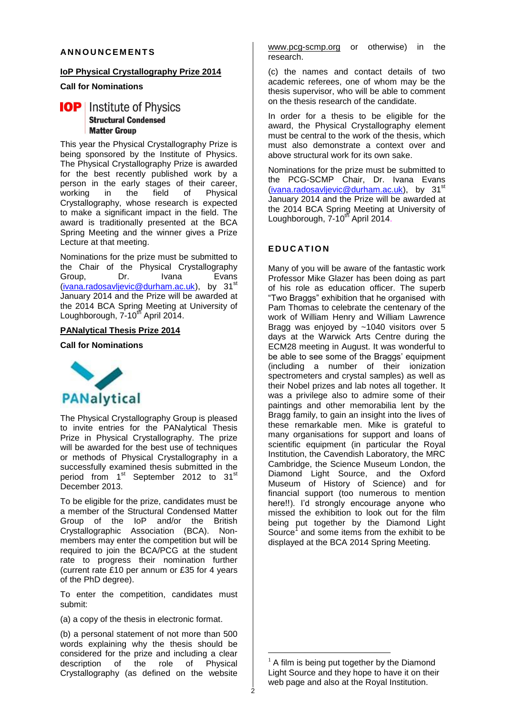## **AN N O U N C E M E N T S**

#### **IoP Physical Crystallography Prize 2014**

#### **Call for Nominations**

# **IOP** Institute of Physics **Structural Condensed Matter Group**

This year the Physical Crystallography Prize is being sponsored by the Institute of Physics. The Physical Crystallography Prize is awarded for the best recently published work by a person in the early stages of their career, working in the field of Physical Crystallography, whose research is expected to make a significant impact in the field. The award is traditionally presented at the BCA Spring Meeting and the winner gives a Prize Lecture at that meeting.

Nominations for the prize must be submitted to the Chair of the Physical Crystallography<br>Group. Dr. Ivana Evans Group, Dr. Ivana Evans [\(ivana.radosavljevic@durham.ac.uk\)](mailto:ivana.radosavljevic@durham.ac.uk), by 31<sup>st</sup> January 2014 and the Prize will be awarded at the 2014 BCA Spring Meeting at University of Loughborough, 7-10<sup>th</sup> April 2014.

# **PANalytical Thesis Prize 2014**

#### **Call for Nominations**



The Physical Crystallography Group is pleased to invite entries for the PANalytical Thesis Prize in Physical Crystallography. The prize will be awarded for the best use of techniques or methods of Physical Crystallography in a successfully examined thesis submitted in the period from 1<sup>st</sup> September 2012 to 31<sup>st</sup> December 2013.

To be eligible for the prize, candidates must be a member of the Structural Condensed Matter Group of the IoP and/or the British Crystallographic Association (BCA). Nonmembers may enter the competition but will be required to join the BCA/PCG at the student rate to progress their nomination further (current rate £10 per annum or £35 for 4 years of the PhD degree).

To enter the competition, candidates must submit:

(a) a copy of the thesis in electronic format.

(b) a personal statement of not more than 500 words explaining why the thesis should be considered for the prize and including a clear description of the role of Physical Crystallography (as defined on the website

[www.pcg-scmp.org](http://www.pcg-scmp.org/) or otherwise) in the research.

(c) the names and contact details of two academic referees, one of whom may be the thesis supervisor, who will be able to comment on the thesis research of the candidate.

In order for a thesis to be eligible for the award, the Physical Crystallography element must be central to the work of the thesis, which must also demonstrate a context over and above structural work for its own sake.

Nominations for the prize must be submitted to the PCG-SCMP Chair, Dr. Ivana Evans  $(i$ vana.radosavljevic@durham.ac.uk), by 31<sup>st</sup> January 2014 and the Prize will be awarded at the 2014 BCA Spring Meeting at University of Loughborough, 7-10<sup>th</sup> April 2014.

## **E D U C AT I O N**

Many of you will be aware of the fantastic work Professor Mike Glazer has been doing as part of his role as education officer. The superb "Two Braggs" exhibition that he organised with Pam Thomas to celebrate the centenary of the work of William Henry and William Lawrence Bragg was enjoyed by ~1040 visitors over 5 days at the Warwick Arts Centre during the ECM28 meeting in August. It was wonderful to be able to see some of the Braggs' equipment (including a number of their ionization spectrometers and crystal samples) as well as their Nobel prizes and lab notes all together. It was a privilege also to admire some of their paintings and other memorabilia lent by the Bragg family, to gain an insight into the lives of these remarkable men. Mike is grateful to many organisations for support and loans of scientific equipment (in particular the Royal Institution, the Cavendish Laboratory, the MRC Cambridge, the Science Museum London, the Diamond Light Source, and the Oxford Museum of History of Science) and for financial support (too numerous to mention here!!). I'd strongly encourage anyone who missed the exhibition to look out for the film being put together by the Diamond Light Source<sup>1</sup> and some items from the exhibit to be displayed at the BCA 2014 Spring Meeting.

<u>.</u>

 $<sup>1</sup>$  A film is being put together by the Diamond</sup> Light Source and they hope to have it on their web page and also at the Royal Institution.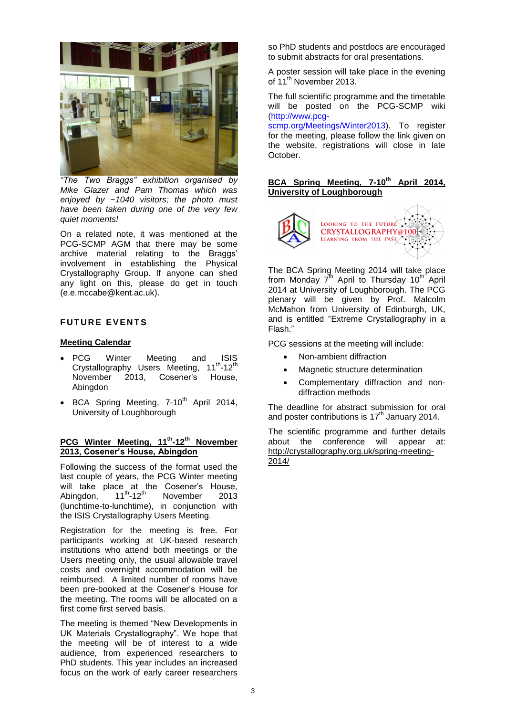

*"The Two Braggs" exhibition organised by Mike Glazer and Pam Thomas which was enjoyed by ~1040 visitors; the photo must have been taken during one of the very few quiet moments!*

On a related note, it was mentioned at the PCG-SCMP AGM that there may be some archive material relating to the Braggs' involvement in establishing the Physical Crystallography Group. If anyone can shed any light on this, please do get in touch (e.e.mccabe@kent.ac.uk).

# **FUTURE EVENTS**

#### **Meeting Calendar**

- PCG Winter Meeting and ISIS Crystallography Users Meeting, 11<sup>th</sup>-12<sup>th</sup> November 2013, Cosener's House, **Abingdon**
- $\bullet$  BCA Spring Meeting, 7-10<sup>th</sup> April 2014, University of Loughborough

#### **PCG Winter Meeting, 11th -12th November 2013, Cosener's House, Abingdon**

Following the success of the format used the last couple of years, the PCG Winter meeting will take place at the Cosener's House, Abingdon, 11<sup>th</sup>-12<sup>th</sup> November 2013 (lunchtime-to-lunchtime), in conjunction with the ISIS Crystallography Users Meeting.

Registration for the meeting is free. For participants working at UK-based research institutions who attend both meetings or the Users meeting only, the usual allowable travel costs and overnight accommodation will be reimbursed. A limited number of rooms have been pre-booked at the Cosener's House for the meeting. The rooms will be allocated on a first come first served basis.

The meeting is themed "New Developments in UK Materials Crystallography". We hope that the meeting will be of interest to a wide audience, from experienced researchers to PhD students. This year includes an increased focus on the work of early career researchers

so PhD students and postdocs are encouraged to submit abstracts for oral presentations.

A poster session will take place in the evening of 11<sup>th</sup> November 2013.

The full scientific programme and the timetable will be posted on the PCG-SCMP wiki [\(http://www.pcg-](http://www.pcg-scmp.org/Meetings/Winter2013)

[scmp.org/Meetings/Winter2013\)](http://www.pcg-scmp.org/Meetings/Winter2013). To register for the meeting, please follow the link given on the website, registrations will close in late October.

# **BCA Spring Meeting, 7-10th April 2014, University of Loughborough**



The BCA Spring Meeting 2014 will take place from Monday 7<sup>th</sup> April to Thursday 10<sup>th</sup> April 2014 at University of Loughborough. The PCG plenary will be given by Prof. Malcolm McMahon from University of Edinburgh, UK, and is entitled "Extreme Crystallography in a Flash."

PCG sessions at the meeting will include:

- Non-ambient diffraction
- Magnetic structure determination
- Complementary diffraction and nondiffraction methods

The deadline for abstract submission for oral and poster contributions is 17<sup>th</sup> January 2014.

The scientific programme and further details about the conference will appear at: http://crystallography.org.uk/spring-meeting-2014/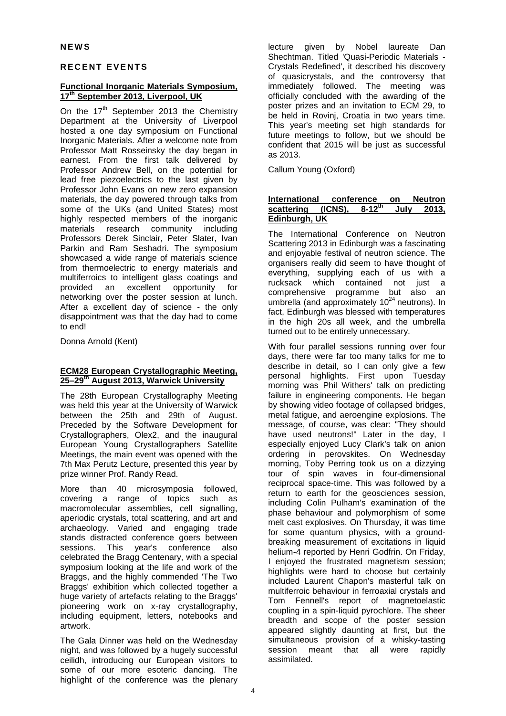# **R E C E N T E V E N T S**

# **Functional Inorganic Materials Symposium, 17th September 2013, Liverpool, UK**

On the  $17<sup>th</sup>$  September 2013 the Chemistry Department at the University of Liverpool hosted a one day symposium on Functional Inorganic Materials. After a welcome note from Professor Matt Rosseinsky the day began in earnest. From the first talk delivered by Professor Andrew Bell, on the potential for lead free piezoelectrics to the last given by Professor John Evans on new zero expansion materials, the day powered through talks from some of the UKs (and United States) most highly respected members of the inorganic materials research community including Professors Derek Sinclair, Peter Slater, Ivan Parkin and Ram Seshadri. The symposium showcased a wide range of materials science from thermoelectric to energy materials and multiferroics to intelligent glass coatings and<br>provided an excellent opportunity for provided an networking over the poster session at lunch. After a excellent day of science - the only disappointment was that the day had to come to end!

Donna Arnold (Kent)

#### **ECM28 European Crystallographic Meeting, 25–29th August 2013, Warwick University**

The 28th European Crystallography Meeting was held this year at the University of Warwick between the 25th and 29th of August. Preceded by the Software Development for Crystallographers, Olex2, and the inaugural European Young Crystallographers Satellite Meetings, the main event was opened with the 7th Max Perutz Lecture, presented this year by prize winner Prof. Randy Read.

More than 40 microsymposia followed, covering a range of topics such as macromolecular assemblies, cell signalling, aperiodic crystals, total scattering, and art and archaeology. Varied and engaging trade stands distracted conference goers between sessions. This year's conference also celebrated the Bragg Centenary, with a special symposium looking at the life and work of the Braggs, and the highly commended 'The Two Braggs' exhibition which collected together a huge variety of artefacts relating to the Braggs' pioneering work on x-ray crystallography, including equipment, letters, notebooks and artwork.

The Gala Dinner was held on the Wednesday night, and was followed by a hugely successful ceilidh, introducing our European visitors to some of our more esoteric dancing. The highlight of the conference was the plenary lecture given by Nobel laureate Dan Shechtman. Titled 'Quasi-Periodic Materials - Crystals Redefined', it described his discovery of quasicrystals, and the controversy that immediately followed. The meeting was officially concluded with the awarding of the poster prizes and an invitation to ECM 29, to be held in Rovinj, Croatia in two years time. This year's meeting set high standards for future meetings to follow, but we should be confident that 2015 will be just as successful as 2013.

Callum Young (Oxford)

#### **International conference on Neutron**<br> **scattering (ICNS), 8-12<sup>th</sup> July 2013. scattering** (ICNS), **th July 2013, Edinburgh, UK**

The International Conference on Neutron Scattering 2013 in Edinburgh was a fascinating and enjoyable festival of neutron science. The organisers really did seem to have thought of everything, supplying each of us with a rucksack which contained not just a comprehensive programme but also an umbrella (and approximately  $10^{24}$  neutrons). In fact, Edinburgh was blessed with temperatures in the high 20s all week, and the umbrella turned out to be entirely unnecessary.

With four parallel sessions running over four days, there were far too many talks for me to describe in detail, so I can only give a few personal highlights. First upon Tuesday morning was Phil Withers' talk on predicting failure in engineering components. He began by showing video footage of collapsed bridges, metal fatigue, and aeroengine explosions. The message, of course, was clear: "They should have used neutrons!" Later in the day, I especially enjoyed Lucy Clark's talk on anion ordering in perovskites. On Wednesday morning, Toby Perring took us on a dizzying tour of spin waves in four-dimensional reciprocal space-time. This was followed by a return to earth for the geosciences session, including Colin Pulham's examination of the phase behaviour and polymorphism of some melt cast explosives. On Thursday, it was time for some quantum physics, with a groundbreaking measurement of excitations in liquid helium-4 reported by Henri Godfrin. On Friday, I enjoyed the frustrated magnetism session; highlights were hard to choose but certainly included Laurent Chapon's masterful talk on multiferroic behaviour in ferroaxial crystals and Tom Fennell's report of magnetoelastic coupling in a spin-liquid pyrochlore. The sheer breadth and scope of the poster session appeared slightly daunting at first, but the simultaneous provision of a whisky-tasting session meant that all were rapidly assimilated.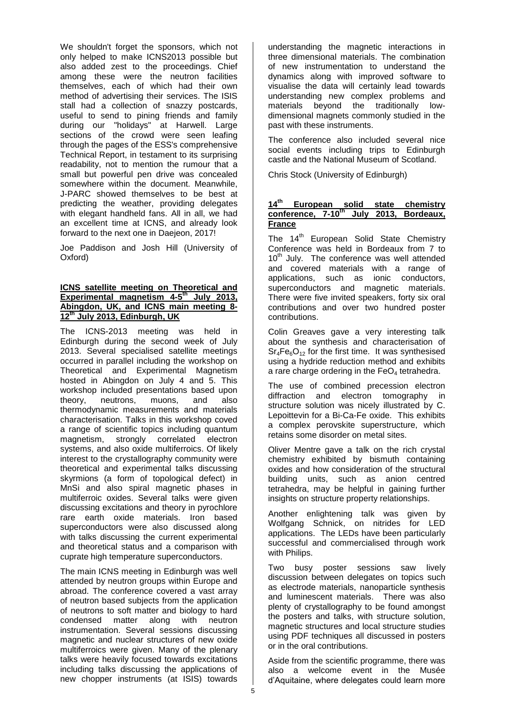We shouldn't forget the sponsors, which not only helped to make ICNS2013 possible but also added zest to the proceedings. Chief among these were the neutron facilities themselves, each of which had their own method of advertising their services. The ISIS stall had a collection of snazzy postcards, useful to send to pining friends and family during our "holidays" at Harwell. Large sections of the crowd were seen leafing through the pages of the ESS's comprehensive Technical Report, in testament to its surprising readability, not to mention the rumour that a small but powerful pen drive was concealed somewhere within the document. Meanwhile, J-PARC showed themselves to be best at predicting the weather, providing delegates with elegant handheld fans. All in all, we had an excellent time at ICNS, and already look forward to the next one in Daejeon, 2017!

Joe Paddison and Josh Hill (University of Oxford)

#### **ICNS satellite meeting on Theoretical and Experimental magnetism 4-5 th July 2013, Abingdon, UK, and ICNS main meeting 8- 12 th July 2013, Edinburgh, UK**

The ICNS-2013 meeting was held in Edinburgh during the second week of July 2013. Several specialised satellite meetings occurred in parallel including the workshop on Theoretical and Experimental Magnetism hosted in Abingdon on July 4 and 5. This workshop included presentations based upon theory, neutrons, muons, and also thermodynamic measurements and materials characterisation. Talks in this workshop coved a range of scientific topics including quantum magnetism, strongly correlated electron systems, and also oxide multiferroics. Of likely interest to the crystallography community were theoretical and experimental talks discussing skyrmions (a form of topological defect) in MnSi and also spiral magnetic phases in multiferroic oxides. Several talks were given discussing excitations and theory in pyrochlore rare earth oxide materials. Iron based superconductors were also discussed along with talks discussing the current experimental and theoretical status and a comparison with cuprate high temperature superconductors.

The main ICNS meeting in Edinburgh was well attended by neutron groups within Europe and abroad. The conference covered a vast array of neutron based subjects from the application of neutrons to soft matter and biology to hard condensed matter along with neutron instrumentation. Several sessions discussing magnetic and nuclear structures of new oxide multiferroics were given. Many of the plenary talks were heavily focused towards excitations including talks discussing the applications of new chopper instruments (at ISIS) towards

understanding the magnetic interactions in three dimensional materials. The combination of new instrumentation to understand the dynamics along with improved software to visualise the data will certainly lead towards understanding new complex problems and materials beyond the traditionally lowdimensional magnets commonly studied in the past with these instruments.

The conference also included several nice social events including trips to Edinburgh castle and the National Museum of Scotland.

Chris Stock (University of Edinburgh)

# **14th European solid state chemistry conference, 7-10th July 2013, Bordeaux, France**

The  $14<sup>th</sup>$  European Solid State Chemistry Conference was held in Bordeaux from 7 to 10<sup>th</sup> July. The conference was well attended and covered materials with a range of applications, such as ionic conductors, superconductors and magnetic materials. There were five invited speakers, forty six oral contributions and over two hundred poster contributions.

Colin Greaves gave a very interesting talk about the synthesis and characterisation of  $Sr_4Fe_6O_{12}$  for the first time. It was synthesised using a hydride reduction method and exhibits a rare charge ordering in the  $FeO<sub>4</sub>$  tetrahedra.

The use of combined precession electron diffraction and electron tomography in structure solution was nicely illustrated by C. Lepoittevin for a Bi-Ca-Fe oxide. This exhibits a complex perovskite superstructure, which retains some disorder on metal sites.

Oliver Mentre gave a talk on the rich crystal chemistry exhibited by bismuth containing oxides and how consideration of the structural building units, such as anion centred tetrahedra, may be helpful in gaining further insights on structure property relationships.

Another enlightening talk was given by Wolfgang Schnick, on nitrides for LED applications. The LEDs have been particularly successful and commercialised through work with Philips.

Two busy poster sessions saw lively discussion between delegates on topics such as electrode materials, nanoparticle synthesis and luminescent materials. There was also plenty of crystallography to be found amongst the posters and talks, with structure solution, magnetic structures and local structure studies using PDF techniques all discussed in posters or in the oral contributions.

Aside from the scientific programme, there was also a welcome event in the Musée d'Aquitaine, where delegates could learn more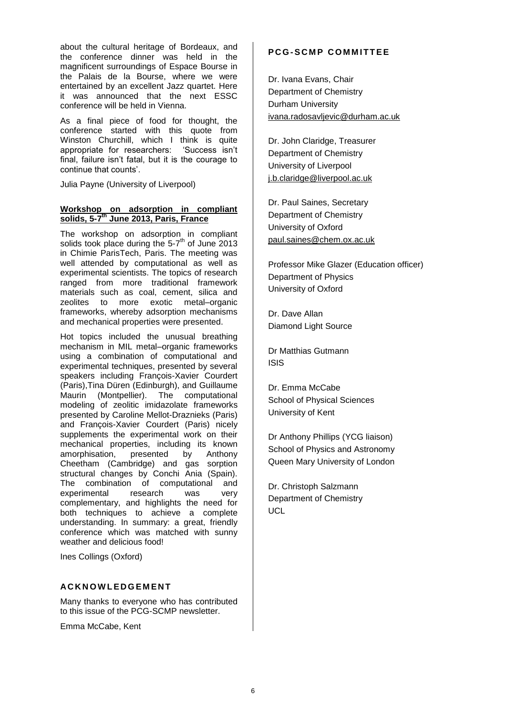about the cultural heritage of Bordeaux, and the conference dinner was held in the magnificent surroundings of Espace Bourse in the Palais de la Bourse, where we were entertained by an excellent Jazz quartet. Here it was announced that the next ESSC conference will be held in Vienna.

As a final piece of food for thought, the conference started with this quote from Winston Churchill, which I think is quite appropriate for researchers: 'Success isn't final, failure isn't fatal, but it is the courage to continue that counts'.

Julia Payne (University of Liverpool)

### **Workshop on adsorption in compliant solids, 5-7 th June 2013, Paris, France**

The workshop on adsorption in compliant solids took place during the  $5-7<sup>th</sup>$  of June 2013 in Chimie ParisTech, Paris. The meeting was well attended by computational as well as experimental scientists. The topics of research ranged from more traditional framework materials such as coal, cement, silica and zeolites to more exotic metal–organic frameworks, whereby adsorption mechanisms and mechanical properties were presented.

Hot topics included the unusual breathing mechanism in MIL metal–organic frameworks using a combination of computational and experimental techniques, presented by several speakers including François-Xavier Courdert (Paris),Tina Düren (Edinburgh), and Guillaume Maurin (Montpellier). The computational modeling of zeolitic imidazolate frameworks presented by Caroline Mellot-Draznieks (Paris) and François-Xavier Courdert (Paris) nicely supplements the experimental work on their mechanical properties, including its known amorphisation, presented by Anthony Cheetham (Cambridge) and gas sorption structural changes by Conchi Ania (Spain). The combination of computational and experimental research was very complementary, and highlights the need for both techniques to achieve a complete understanding. In summary: a great, friendly conference which was matched with sunny weather and delicious food!

Ines Collings (Oxford)

## **AC K N O W L E D G E M E N T**

Many thanks to everyone who has contributed to this issue of the PCG-SCMP newsletter.

Emma McCabe, Kent

# **PCG-SCMP COMMITTEE**

Dr. Ivana Evans, Chair Department of Chemistry Durham University [ivana.radosavljevic@durham.ac.uk](mailto:ivana.radosavljevic@durham.ac.uk)

Dr. John Claridge, Treasurer Department of Chemistry University of Liverpool [j.b.claridge@liverpool.ac.uk](mailto:j.b.claridge@liverpool.ac.uk)

Dr. Paul Saines, Secretary Department of Chemistry University of Oxford [paul.saines@chem.ox.ac.uk](mailto:paul.saines@chem.ox.ac.uk)

Professor Mike Glazer (Education officer) Department of Physics University of Oxford

Dr. Dave Allan Diamond Light Source

Dr Matthias Gutmann ISIS

Dr. Emma McCabe School of Physical Sciences University of Kent

Dr Anthony Phillips (YCG liaison) School of Physics and Astronomy Queen Mary University of London

Dr. Christoph Salzmann Department of Chemistry **UCL**